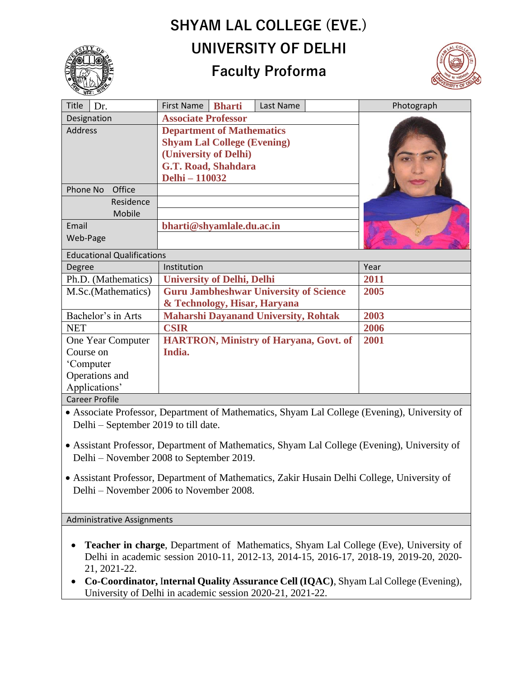## **SHYAM LAL COLLEGE (EVE.) UNIVERSITY OF DELHI**



## **Faculty Proforma**



| Title<br>Dr.                      | <b>First Name</b><br><b>Bharti</b><br>Last Name | Photograph |
|-----------------------------------|-------------------------------------------------|------------|
| Designation                       | <b>Associate Professor</b>                      |            |
| <b>Address</b>                    | <b>Department of Mathematics</b>                |            |
|                                   | <b>Shyam Lal College (Evening)</b>              |            |
|                                   | (University of Delhi)                           |            |
|                                   | G.T. Road, Shahdara                             |            |
|                                   | Delhi - 110032                                  |            |
| Phone No<br>Office                |                                                 |            |
| Residence                         |                                                 |            |
| Mobile                            |                                                 |            |
| Email                             | bharti@shyamlale.du.ac.in                       |            |
| Web-Page                          |                                                 |            |
| <b>Educational Qualifications</b> |                                                 |            |
| Degree                            | Institution                                     | Year       |
| Ph.D. (Mathematics)               | <b>University of Delhi, Delhi</b>               | 2011       |
| M.Sc.(Mathematics)                | <b>Guru Jambheshwar University of Science</b>   | 2005       |
|                                   | & Technology, Hisar, Haryana                    |            |
| Bachelor's in Arts                | <b>Maharshi Dayanand University, Rohtak</b>     | 2003       |
| <b>NET</b>                        | <b>CSIR</b>                                     | 2006       |
| One Year Computer                 | <b>HARTRON, Ministry of Haryana, Govt. of</b>   | 2001       |
| Course on                         | India.                                          |            |
| 'Computer                         |                                                 |            |
| Operations and                    |                                                 |            |
| Applications'                     |                                                 |            |
| <b>Career Profile</b>             |                                                 |            |

• Associate Professor, Department of Mathematics, Shyam Lal College (Evening), University of Delhi – September 2019 to till date.

- Assistant Professor, Department of Mathematics, Shyam Lal College (Evening), University of Delhi – November 2008 to September 2019.
- Assistant Professor, Department of Mathematics, Zakir Husain Delhi College, University of Delhi – November 2006 to November 2008.

Administrative Assignments

- **Teacher in charge**, Department of Mathematics, Shyam Lal College (Eve), University of Delhi in academic session 2010-11, 2012-13, 2014-15, 2016-17, 2018-19, 2019-20, 2020- 21, 2021-22.
- **Co-Coordinator,** I**nternal Quality Assurance Cell (IQAC)**, Shyam Lal College (Evening), University of Delhi in academic session 2020-21, 2021-22.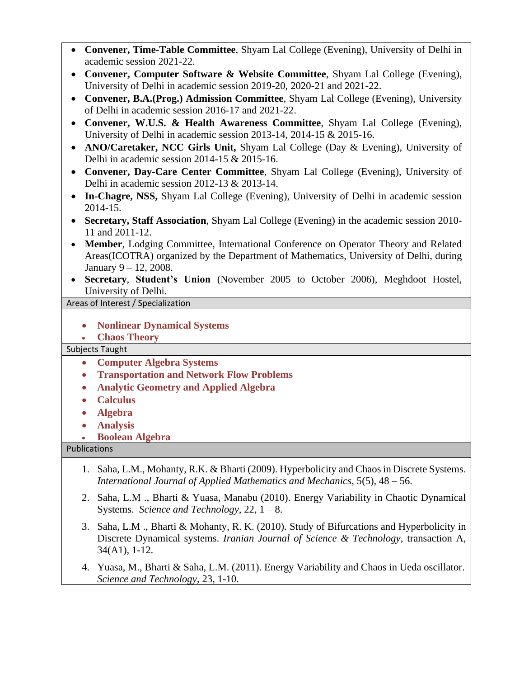| Convener, Time-Table Committee, Shyam Lal College (Evening), University of Delhi in<br>$\bullet$                                                                                |  |  |
|---------------------------------------------------------------------------------------------------------------------------------------------------------------------------------|--|--|
| academic session 2021-22.                                                                                                                                                       |  |  |
| Convener, Computer Software & Website Committee, Shyam Lal College (Evening),<br>University of Delhi in academic session 2019-20, 2020-21 and 2021-22.                          |  |  |
| Convener, B.A.(Prog.) Admission Committee, Shyam Lal College (Evening), University<br>$\bullet$                                                                                 |  |  |
| of Delhi in academic session 2016-17 and 2021-22.                                                                                                                               |  |  |
| Convener, W.U.S. & Health Awareness Committee, Shyam Lal College (Evening),<br>$\bullet$<br>University of Delhi in academic session 2013-14, 2014-15 & 2015-16.                 |  |  |
| ANO/Caretaker, NCC Girls Unit, Shyam Lal College (Day & Evening), University of                                                                                                 |  |  |
| Delhi in academic session $2014-15 \& 2015-16$ .                                                                                                                                |  |  |
| Convener, Day-Care Center Committee, Shyam Lal College (Evening), University of                                                                                                 |  |  |
| Delhi in academic session 2012-13 & 2013-14.                                                                                                                                    |  |  |
| In-Chagre, NSS, Shyam Lal College (Evening), University of Delhi in academic session<br>2014-15.                                                                                |  |  |
| Secretary, Staff Association, Shyam Lal College (Evening) in the academic session 2010-<br>$\bullet$                                                                            |  |  |
| 11 and 2011-12.                                                                                                                                                                 |  |  |
| Member, Lodging Committee, International Conference on Operator Theory and Related<br>$\bullet$                                                                                 |  |  |
| Areas(ICOTRA) organized by the Department of Mathematics, University of Delhi, during                                                                                           |  |  |
| January $9 - 12$ , 2008.                                                                                                                                                        |  |  |
| Secretary, Student's Union (November 2005 to October 2006), Meghdoot Hostel,                                                                                                    |  |  |
| University of Delhi.                                                                                                                                                            |  |  |
| Areas of Interest / Specialization                                                                                                                                              |  |  |
|                                                                                                                                                                                 |  |  |
|                                                                                                                                                                                 |  |  |
| <b>Nonlinear Dynamical Systems</b>                                                                                                                                              |  |  |
| <b>Chaos Theory</b><br>$\bullet$                                                                                                                                                |  |  |
| <b>Subjects Taught</b>                                                                                                                                                          |  |  |
| <b>Computer Algebra Systems</b><br>$\bullet$                                                                                                                                    |  |  |
| <b>Transportation and Network Flow Problems</b><br>$\bullet$                                                                                                                    |  |  |
| <b>Analytic Geometry and Applied Algebra</b><br>$\bullet$                                                                                                                       |  |  |
| <b>Calculus</b><br>$\bullet$                                                                                                                                                    |  |  |
| <b>Algebra</b><br>$\bullet$                                                                                                                                                     |  |  |
| <b>Analysis</b>                                                                                                                                                                 |  |  |
| <b>Boolean Algebra</b>                                                                                                                                                          |  |  |
| Publications                                                                                                                                                                    |  |  |
| Saha, L.M., Mohanty, R.K. & Bharti (2009). Hyperbolicity and Chaos in Discrete Systems.<br>1.<br>International Journal of Applied Mathematics and Mechanics, $5(5)$ , $48-56$ . |  |  |
| Saha, L.M., Bharti & Yuasa, Manabu (2010). Energy Variability in Chaotic Dynamical<br>2.<br>Systems. Science and Technology, 22, $1 - 8$ .                                      |  |  |

4. Yuasa, M., Bharti & Saha, L.M. (2011). Energy Variability and Chaos in Ueda oscillator. *Science and Technology,* 23, 1-10.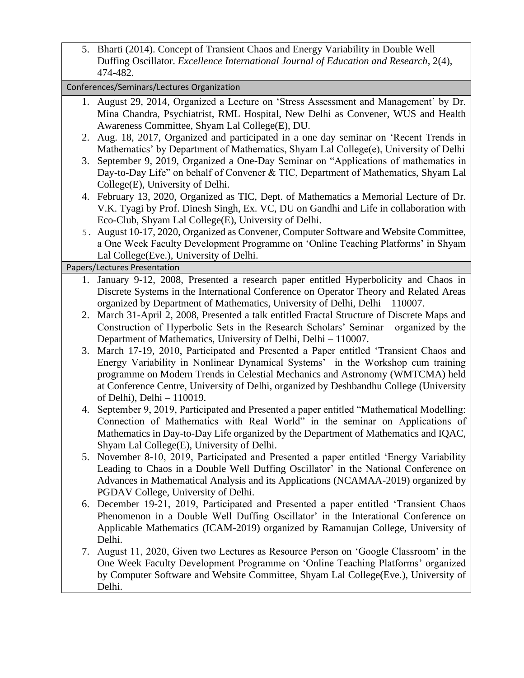5. Bharti (2014). Concept of Transient Chaos and Energy Variability in Double Well Duffing Oscillator. *Excellence International Journal of Education and Research*, 2(4), 474-482.

|                              | Conferences/Seminars/Lectures Organization |                                                                                          |  |
|------------------------------|--------------------------------------------|------------------------------------------------------------------------------------------|--|
|                              |                                            | 1. August 29, 2014, Organized a Lecture on 'Stress Assessment and Management' by Dr.     |  |
|                              |                                            | Mina Chandra, Psychiatrist, RML Hospital, New Delhi as Convener, WUS and Health          |  |
|                              |                                            | Awareness Committee, Shyam Lal College(E), DU.                                           |  |
|                              | 2.                                         | Aug. 18, 2017, Organized and participated in a one day seminar on 'Recent Trends in      |  |
|                              |                                            | Mathematics' by Department of Mathematics, Shyam Lal College(e), University of Delhi     |  |
|                              | 3.                                         | September 9, 2019, Organized a One-Day Seminar on "Applications of mathematics in        |  |
|                              |                                            | Day-to-Day Life" on behalf of Convener & TIC, Department of Mathematics, Shyam Lal       |  |
|                              |                                            | College(E), University of Delhi.                                                         |  |
|                              |                                            | 4. February 13, 2020, Organized as TIC, Dept. of Mathematics a Memorial Lecture of Dr.   |  |
|                              |                                            | V.K. Tyagi by Prof. Dinesh Singh, Ex. VC, DU on Gandhi and Life in collaboration with    |  |
|                              |                                            | Eco-Club, Shyam Lal College(E), University of Delhi.                                     |  |
|                              |                                            | 5. August 10-17, 2020, Organized as Convener, Computer Software and Website Committee,   |  |
|                              |                                            | a One Week Faculty Development Programme on 'Online Teaching Platforms' in Shyam         |  |
|                              |                                            | Lal College(Eve.), University of Delhi.                                                  |  |
| Papers/Lectures Presentation |                                            |                                                                                          |  |
|                              |                                            | 1. January 9-12, 2008, Presented a research paper entitled Hyperbolicity and Chaos in    |  |
|                              |                                            | Discrete Systems in the International Conference on Operator Theory and Related Areas    |  |
|                              |                                            | organized by Department of Mathematics, University of Delhi, Delhi - 110007.             |  |
|                              | 2.                                         | March 31-April 2, 2008, Presented a talk entitled Fractal Structure of Discrete Maps and |  |
|                              |                                            | Construction of Hyperbolic Sets in the Research Scholars' Seminar organized by the       |  |
|                              |                                            | Department of Mathematics, University of Delhi, Delhi - 110007.                          |  |
|                              | 3.                                         | March 17-19, 2010, Participated and Presented a Paper entitled 'Transient Chaos and      |  |
|                              |                                            | Energy Variability in Nonlinear Dynamical Systems' in the Workshop cum training          |  |
|                              |                                            | programme on Modern Trends in Celestial Mechanics and Astronomy (WMTCMA) held            |  |
|                              |                                            | at Conference Centre, University of Delhi, organized by Deshbandhu College (University   |  |
|                              |                                            | of Delhi), Delhi $-110019$ .                                                             |  |
|                              | 4.                                         | September 9, 2019, Participated and Presented a paper entitled "Mathematical Modelling:  |  |
|                              |                                            | Connection of Mathematics with Real World" in the seminar on Applications of             |  |
|                              |                                            | Mathematics in Day-to-Day Life organized by the Department of Mathematics and IQAC,      |  |
|                              |                                            | Shyam Lal College(E), University of Delhi.                                               |  |
|                              |                                            | 5. November 8-10, 2019, Participated and Presented a paper entitled 'Energy Variability  |  |
|                              |                                            | Leading to Chaos in a Double Well Duffing Oscillator' in the National Conference on      |  |
|                              |                                            | Advances in Mathematical Analysis and its Applications (NCAMAA-2019) organized by        |  |
|                              |                                            | PGDAV College, University of Delhi.                                                      |  |
|                              | 6.                                         | December 19-21, 2019, Participated and Presented a paper entitled 'Transient Chaos       |  |
|                              |                                            | Phenomenon in a Double Well Duffing Oscillator' in the Interational Conference on        |  |
|                              |                                            | Applicable Mathematics (ICAM-2019) organized by Ramanujan College, University of         |  |
|                              |                                            | Delhi.                                                                                   |  |
|                              | 7.                                         | August 11, 2020, Given two Lectures as Resource Person on 'Google Classroom' in the      |  |
|                              |                                            | One Week Faculty Development Programme on 'Online Teaching Platforms' organized          |  |
|                              |                                            | by Computer Software and Website Committee, Shyam Lal College(Eve.), University of       |  |

Delhi.